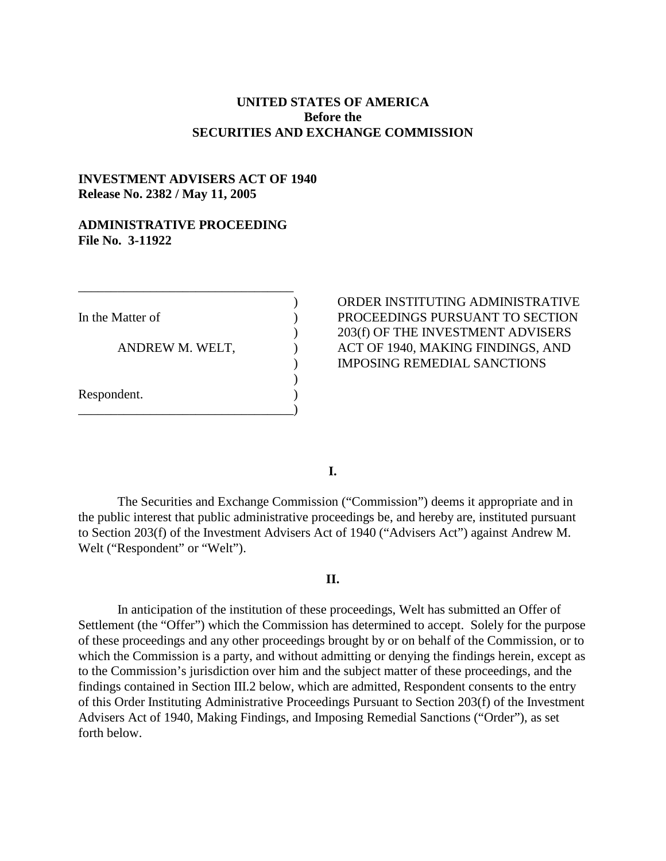# **UNITED STATES OF AMERICA Before the SECURITIES AND EXCHANGE COMMISSION**

# **INVESTMENT ADVISERS ACT OF 1940 Release No. 2382 / May 11, 2005**

### **ADMINISTRATIVE PROCEEDING File No. 3-11922**

\_\_\_\_\_\_\_\_\_\_\_\_\_\_\_\_\_\_\_\_\_\_\_\_\_\_\_\_\_\_\_\_\_

\_\_\_\_\_\_\_\_\_\_\_\_\_\_\_\_\_\_\_\_\_\_\_\_\_\_\_\_\_\_\_\_\_)

Respondent. )

) ORDER INSTITUTING ADMINISTRATIVE In the Matter of  $\qquad\qquad\qquad$  ) PROCEEDINGS PURSUANT TO SECTION ) 203(f) OF THE INVESTMENT ADVISERS ANDREW M. WELT,  $\overline{A}$  ACT OF 1940, MAKING FINDINGS, AND ) IMPOSING REMEDIAL SANCTIONS

**I.** 

)

The Securities and Exchange Commission ("Commission") deems it appropriate and in the public interest that public administrative proceedings be, and hereby are, instituted pursuant to Section 203(f) of the Investment Advisers Act of 1940 ("Advisers Act") against Andrew M. Welt ("Respondent" or "Welt").

#### **II.**

In anticipation of the institution of these proceedings, Welt has submitted an Offer of Settlement (the "Offer") which the Commission has determined to accept. Solely for the purpose of these proceedings and any other proceedings brought by or on behalf of the Commission, or to which the Commission is a party, and without admitting or denying the findings herein, except as to the Commission's jurisdiction over him and the subject matter of these proceedings, and the findings contained in Section III.2 below, which are admitted, Respondent consents to the entry of this Order Instituting Administrative Proceedings Pursuant to Section 203(f) of the Investment Advisers Act of 1940, Making Findings, and Imposing Remedial Sanctions ("Order"), as set forth below.